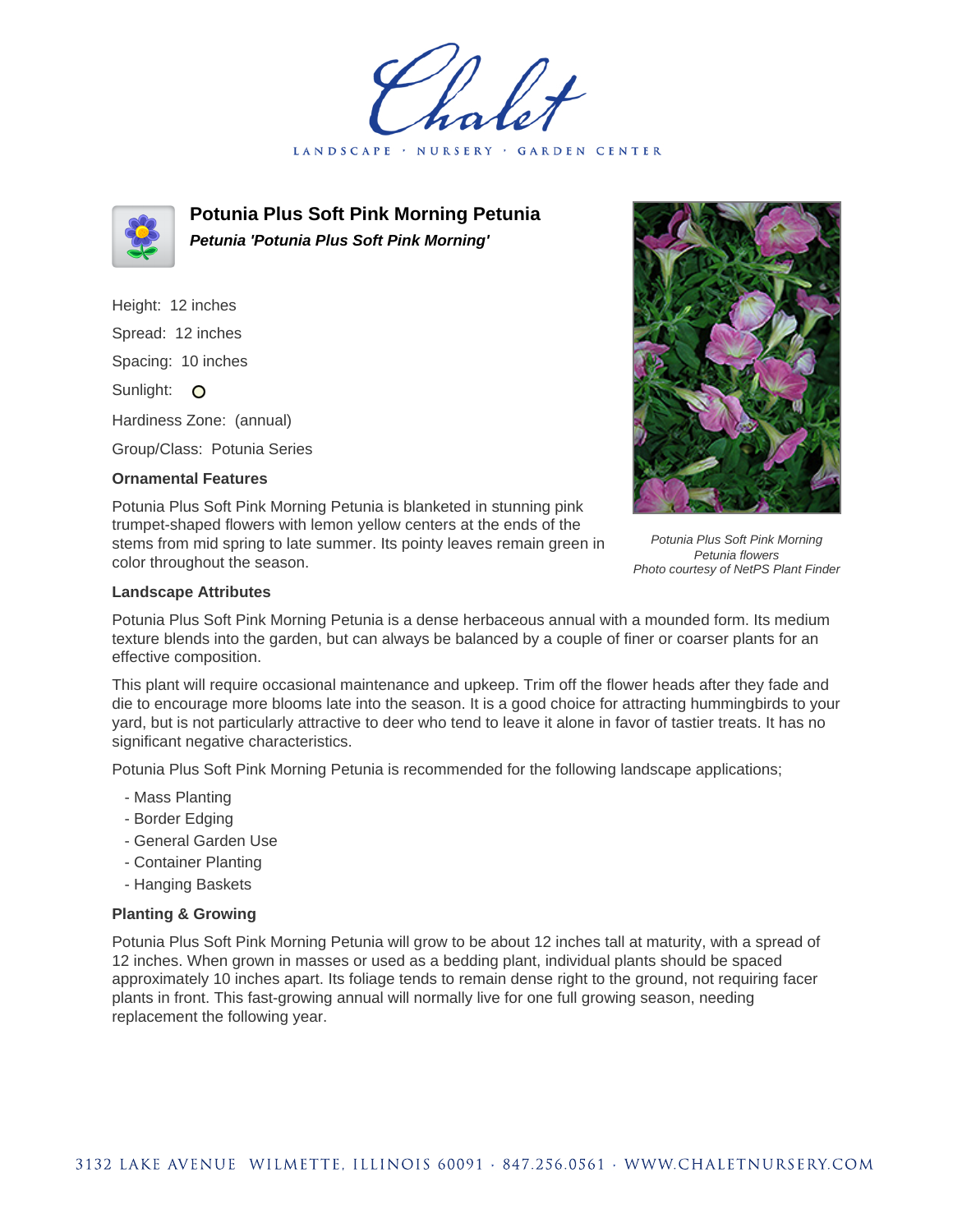LANDSCAPE · NURSERY GARDEN CENTER



**Potunia Plus Soft Pink Morning Petunia Petunia 'Potunia Plus Soft Pink Morning'**

Height: 12 inches Spread: 12 inches Spacing: 10 inches Sunlight: O Hardiness Zone: (annual)

Group/Class: Potunia Series

## **Ornamental Features**

Potunia Plus Soft Pink Morning Petunia is blanketed in stunning pink trumpet-shaped flowers with lemon yellow centers at the ends of the stems from mid spring to late summer. Its pointy leaves remain green in color throughout the season.



Potunia Plus Soft Pink Morning Petunia flowers Photo courtesy of NetPS Plant Finder

## **Landscape Attributes**

Potunia Plus Soft Pink Morning Petunia is a dense herbaceous annual with a mounded form. Its medium texture blends into the garden, but can always be balanced by a couple of finer or coarser plants for an effective composition.

This plant will require occasional maintenance and upkeep. Trim off the flower heads after they fade and die to encourage more blooms late into the season. It is a good choice for attracting hummingbirds to your yard, but is not particularly attractive to deer who tend to leave it alone in favor of tastier treats. It has no significant negative characteristics.

Potunia Plus Soft Pink Morning Petunia is recommended for the following landscape applications;

- Mass Planting
- Border Edging
- General Garden Use
- Container Planting
- Hanging Baskets

## **Planting & Growing**

Potunia Plus Soft Pink Morning Petunia will grow to be about 12 inches tall at maturity, with a spread of 12 inches. When grown in masses or used as a bedding plant, individual plants should be spaced approximately 10 inches apart. Its foliage tends to remain dense right to the ground, not requiring facer plants in front. This fast-growing annual will normally live for one full growing season, needing replacement the following year.